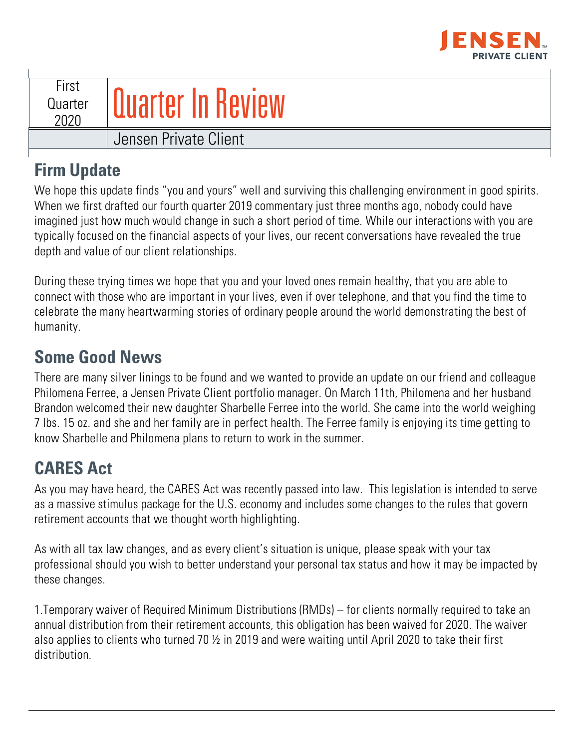

| First<br>Quarter<br>2020 | <b>Quarter In Review</b> |
|--------------------------|--------------------------|
|                          | Jensen Private Client    |

## **Firm Update**

We hope this update finds "you and yours" well and surviving this challenging environment in good spirits. When we first drafted our fourth quarter 2019 commentary just three months ago, nobody could have imagined just how much would change in such a short period of time. While our interactions with you are typically focused on the financial aspects of your lives, our recent conversations have revealed the true depth and value of our client relationships.

During these trying times we hope that you and your loved ones remain healthy, that you are able to connect with those who are important in your lives, even if over telephone, and that you find the time to celebrate the many heartwarming stories of ordinary people around the world demonstrating the best of humanity.

#### **Some Good News**

There are many silver linings to be found and we wanted to provide an update on our friend and colleague Philomena Ferree, a Jensen Private Client portfolio manager. On March 11th, Philomena and her husband Brandon welcomed their new daughter Sharbelle Ferree into the world. She came into the world weighing 7 lbs. 15 oz. and she and her family are in perfect health. The Ferree family is enjoying its time getting to know Sharbelle and Philomena plans to return to work in the summer.

# **CARES Act**

As you may have heard, the CARES Act was recently passed into law. This legislation is intended to serve as a massive stimulus package for the U.S. economy and includes some changes to the rules that govern retirement accounts that we thought worth highlighting.

As with all tax law changes, and as every client's situation is unique, please speak with your tax professional should you wish to better understand your personal tax status and how it may be impacted by these changes.

1.Temporary waiver of Required Minimum Distributions (RMDs) – for clients normally required to take an annual distribution from their retirement accounts, this obligation has been waived for 2020. The waiver also applies to clients who turned 70 ½ in 2019 and were waiting until April 2020 to take their first distribution.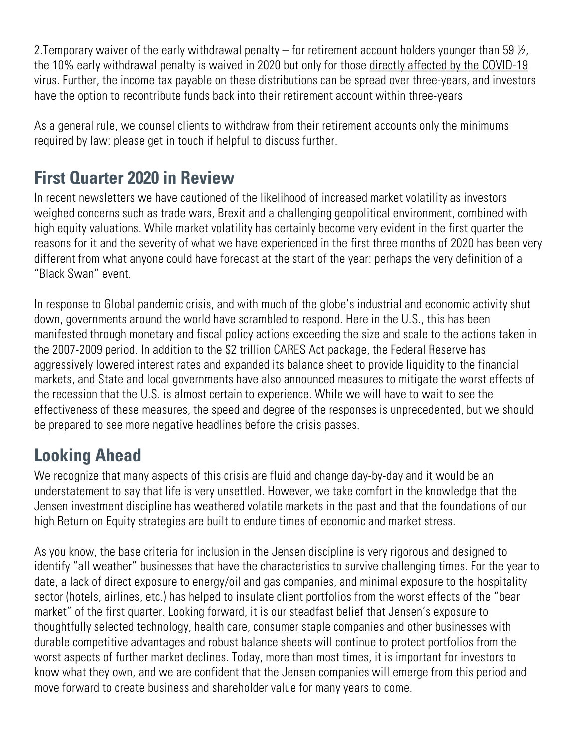2. Temporary waiver of the early withdrawal penalty – for retirement account holders younger than 59  $\frac{1}{2}$ , the 10% early withdrawal penalty is waived in 2020 but only for those directly affected by the COVID-19 virus. Further, the income tax payable on these distributions can be spread over three-years, and investors have the option to recontribute funds back into their retirement account within three-years

As a general rule, we counsel clients to withdraw from their retirement accounts only the minimums required by law: please get in touch if helpful to discuss further.

#### **First Quarter 2020 in Review**

In recent newsletters we have cautioned of the likelihood of increased market volatility as investors weighed concerns such as trade wars, Brexit and a challenging geopolitical environment, combined with high equity valuations. While market volatility has certainly become very evident in the first quarter the reasons for it and the severity of what we have experienced in the first three months of 2020 has been very different from what anyone could have forecast at the start of the year: perhaps the very definition of a "Black Swan" event.

In response to Global pandemic crisis, and with much of the globe's industrial and economic activity shut down, governments around the world have scrambled to respond. Here in the U.S., this has been manifested through monetary and fiscal policy actions exceeding the size and scale to the actions taken in the 2007-2009 period. In addition to the \$2 trillion CARES Act package, the Federal Reserve has aggressively lowered interest rates and expanded its balance sheet to provide liquidity to the financial markets, and State and local governments have also announced measures to mitigate the worst effects of the recession that the U.S. is almost certain to experience. While we will have to wait to see the effectiveness of these measures, the speed and degree of the responses is unprecedented, but we should be prepared to see more negative headlines before the crisis passes.

## **Looking Ahead**

We recognize that many aspects of this crisis are fluid and change day-by-day and it would be an understatement to say that life is very unsettled. However, we take comfort in the knowledge that the Jensen investment discipline has weathered volatile markets in the past and that the foundations of our high Return on Equity strategies are built to endure times of economic and market stress.

As you know, the base criteria for inclusion in the Jensen discipline is very rigorous and designed to identify "all weather" businesses that have the characteristics to survive challenging times. For the year to date, a lack of direct exposure to energy/oil and gas companies, and minimal exposure to the hospitality sector (hotels, airlines, etc.) has helped to insulate client portfolios from the worst effects of the "bear market" of the first quarter. Looking forward, it is our steadfast belief that Jensen's exposure to thoughtfully selected technology, health care, consumer staple companies and other businesses with durable competitive advantages and robust balance sheets will continue to protect portfolios from the worst aspects of further market declines. Today, more than most times, it is important for investors to know what they own, and we are confident that the Jensen companies will emerge from this period and move forward to create business and shareholder value for many years to come.